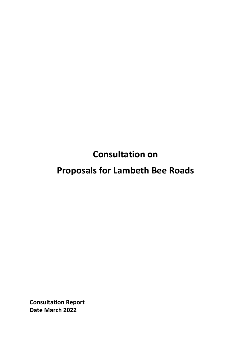**Consultation on** 

# **Proposals for Lambeth Bee Roads**

**Consultation Report Date March 2022**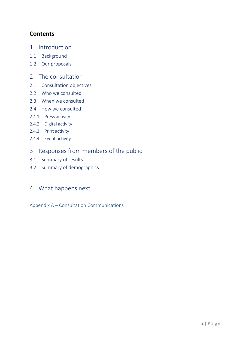# **Contents**

- 1 Introduction
- 1.1 Background
- 1.2 Our proposals
- 2 The consultation
- 2.1 Consultation objectives
- 2.2 Who we consulted
- 2.3 When we consulted
- 2.4 How we consulted
- 2.4.1 Press activity
- 2.4.2 Digital activity
- 2.4.3 Print activity
- 2.4.4 Event activity

# 3 Responses from members of the public

- 3.1 Summary of results
- 3.2 Summary of demographics

# 4 What happens next

Appendix A – Consultation Communications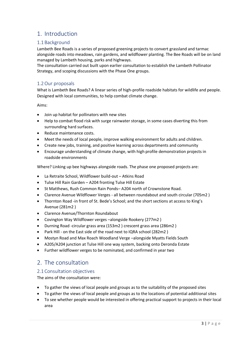# 1. Introduction

# 1.1 Background

Lambeth Bee Roads is a series of proposed greening projects to convert grassland and tarmac alongside roads into meadows, rain gardens, and wildflower planting. The Bee Roads will be on land managed by Lambeth housing, parks and highways.

The consultation carried out built upon earlier consultation to establish the Lambeth Pollinator Strategy, and scoping discussions with the Phase One groups.

# 1.2Our proposals

What is Lambeth Bee Roads? A linear series of high-profile roadside habitats for wildlife and people. Designed with local communities, to help combat climate change.

Aims:

- Join up habitat for pollinators with new sites
- Help to combat flood risk with surge rainwater storage, in some cases diverting this from surrounding hard surfaces.
- Reduce maintenance costs.
- Meet the needs of local people, improve walking environment for adults and children.
- Create new jobs, training, and positive learning across departments and community
- Encourage understanding of climate change, with high profile demonstration projects in roadside environments

Where? Linking up bee highways alongside roads. The phase one proposed projects are:

- La Retraite School, Wildflower build-out Atkins Road
- Tulse Hill Rain Garden A204 fronting Tulse Hill Estate
- St Matthews, Rush Common Rain Ponds– A204 north of Crownstone Road.
- Clarence Avenue Wildflower Verges all between roundabout and south circular (705m2 )
- Thornton Road -in front of St. Bede's School; and the short sections at access to King's Avenue (281m2 )
- Clarence Avenue/Thornton Roundabout
- Covington Way Wildflower verges –alongside Rookery (277m2 )
- Durning Road -circular grass area (153m2 ) crescent grass area (286m2 )
- Park Hill on the East side of the road next to IQRA school (282m2 )
- Mostyn Road and Max Roach Woodland Verge –alongside Myatts Fields South
- A205/A204 junction at Tulse Hill one way system, backing onto Deronda Estate
- Further wildflower verges to be nominated, and confirmed in year two

# 2. The consultation

# 2.1 Consultation objectives

The aims of the consultation were:

- To gather the views of local people and groups as to the suitability of the proposed sites
- To gather the views of local people and groups as to the locations of potential additional sites
- To see whether people would be interested in offering practical support to projects in their local area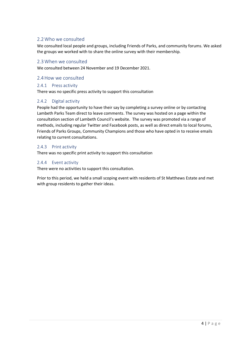# 2.2Who we consulted

We consulted local people and groups, including Friends of Parks, and community forums. We asked the groups we worked with to share the online survey with their membership.

## 2.3When we consulted

We consulted between 24 November and 19 December 2021.

#### 2.4How we consulted

#### 2.4.1 Press activity

There was no specific press activity to support this consultation

### 2.4.2 Digital activity

People had the opportunity to have their say by completing a survey online or by contacting Lambeth Parks Team direct to leave comments. The survey was hosted on a page within the consultation section of Lambeth Council's website. The survey was promoted via a range of methods, including regular Twitter and Facebook posts, as well as direct emails to local forums, Friends of Parks Groups, Community Champions and those who have opted in to receive emails relating to current consultations.

### 2.4.3 Print activity

There was no specific print activity to support this consultation

### 2.4.4 Event activity

There were no activities to support this consultation.

Prior to this period, we held a small scoping event with residents of St Matthews Estate and met with group residents to gather their ideas.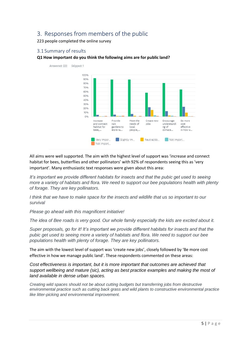# 3. Responses from members of the public

223 people completed the online survey

# 3.1 Summary of results

#### **Q1 How important do you think the following aims are for public land?**



All aims were well supported. The aim with the highest level of support was 'increase and connect habitat for bees, butterflies and other pollinators' with 92% of respondents seeing this as 'very important'. Many enthusiastic text responses were given about this area:

*It's important we provide different habitats for insects and that the pubic get used to seeing more a variety of habitats and flora. We need to support our bee populations health with plenty of forage. They are key pollinators.*

*I think that we have to make space for the insects and wildlife that us so important to our survival*

*Please go ahead with this magnificent initiative!*

*The idea of Bee roads is very good. Our whole family especially the kids are excited about it.*

*Super proposals, go for it! It's important we provide different habitats for insects and that the pubic get used to seeing more a variety of habitats and flora. We need to support our bee populations health with plenty of forage. They are key pollinators.*

The aim with the lowest level of support was 'create new jobs', closely followed by 'Be more cost effective in how we manage public land'. These respondents commented on these areas:

*Cost effectiveness is important, but it is more important that outcomes are achieved that support wellbeing and mature (sic), acting as best practice examples and making the most of land available in dense urban spaces.*

*Creating wild spaces should not be about cutting budgets but transferring jobs from destructive environmental practice such as cutting back grass and wild plants to constructive environmental practice like litter-picking and environmental improvement.*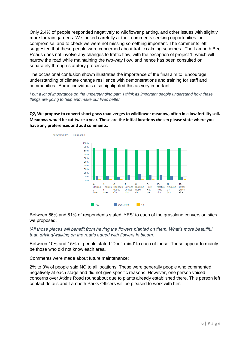Only 2.4% of people responded negatively to wildflower planting, and other issues with slightly more for rain gardens. We looked carefully at their comments seeking opportunities for compromise, and to check we were not missing something important. The comments left suggested that these people were concerned about traffic calming schemes. The Lambeth Bee Roads does not involve any changes to traffic flow, with the exception of project 1, which will narrow the road while maintaining the two-way flow, and hence has been consulted on separately through statutory processes.

The occasional confusion shown illustrates the importance of the final aim to 'Encourage understanding of climate change resilience with demonstrations and training for staff and communities.' Some individuals also highlighted this as very important.

*I put a lot of importance on the understanding part, I think its important people understand how these things are going to help and make our lives better*

**Q2, We propose to convert short grass road verges to wildflower meadow, often in a low fertility soil. Meadows would be cut twice a year. These are the initial locations chosen please state where you have any preferences and add comments.**



Between 86% and 81% of respondents stated 'YES' to each of the grassland conversion sites we proposed.

*'All those places will benefit from having the flowers planted on them. What's more beautiful than driving/walking on the roads edged with flowers in bloom.'* 

Between 10% and 15% of people stated 'Don't mind' to each of these. These appear to mainly be those who did not know each area.

Comments were made about future maintenance:

2% to 3% of people said NO to all locations. These were generally people who commented negatively at each stage and did not give specific reasons. However, one person voiced concerns over Atkins Road roundabout due to plants already established there. This person left contact details and Lambeth Parks Officers will be pleased to work with her.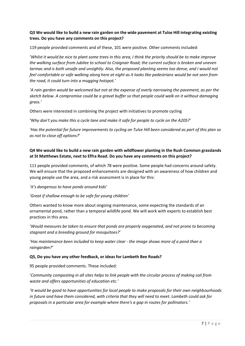## **Q3 We would like to build a new rain garden on the wide pavement at Tulse Hill integrating existing trees. Do you have any comments on this project?**

119 people provided comments and of these, 101 were positive. Other comments included:

'*Whilst it would be nice to plant some trees in this area, I think the priority should be to make improve the walking surface from Jubilee to school to Craignair Road; the current surface is broken and uneven tarmac and is both unsafe and unsightly. Also, the proposed planting seems too dense, and I would not feel comfortable or safe walking along here at night as it looks like pedestrians would be not seen from the road, it could turn into a mugging hotspot.'*

*'A rain garden would be welcomed but not at the expense of overly narrowing the pavement, as per the sketch below. A compromise could be a gravel buffer so that people could walk on it without damaging grass.'*

Others were interested in combining the project with initiatives to promote cycling

'Why don't you make this a cycle lane and make it safe for people to cycle on the A205?'

*'Has the potential for future improvements to cycling on Tulse Hill been considered as part of this plan so as not to close off options?'*

# **Q4 We would like to build a new rain garden with wildflower planting in the Rush Common grasslands at St Matthews Estate, next to Effra Road. Do you have any comments on this project?**

111 people provided comments, of which 78 were positive. Some people had concerns around safety. We will ensure that the proposed enhancements are designed with an awareness of how children and young people use the area, and a risk assessment is in place for this:

### *'it's dangerous to have ponds around kids'*

### *'Great if shallow enough to be safe for young children'*

Others wanted to know more about ongoing maintenance, some expecting the standards of an ornamental pond, rather than a temporal wildlife pond. We will work with experts to establish best practices in this area.

'*Would measures be taken to ensure that ponds are properly oxygenated, and not prone to becoming stagnant and a breeding ground for mosquitoes?'*

*'Has maintenance been included to keep water clear - the image shows more of a pond than a raingarden?'*

#### **Q5, Do you have any other feedback, or ideas for Lambeth Bee Roads?**

95 people provided comments. These included:

'*Community composting in all sites helps to link people with the circular process of making soil from waste and offers opportunities of education etc.'*

*'It would be good to have opportunities for local people to make proposals for their own neighbourhoods in future and have them considered, with criteria that they will need to meet. Lambeth could ask for proposals in a particular area for example where there's a gap in routes for pollinators.'*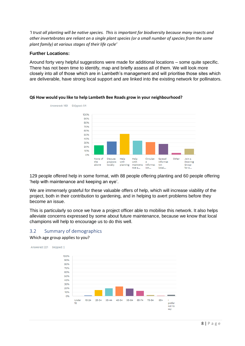*'I trust all planting will be native species. This is important for biodiversity because many insects and other invertebrates are reliant on a single plant species (or a small number of species from the same plant family) at various stages of their life cycle'*

### **Further Locations:**

Around forty very helpful suggestions were made for additional locations – some quite specific. There has not been time to identify, map and briefly assess all of them. We will look more closely into all of those which are in Lambeth's management and will prioritise those sites which are deliverable, have strong local support and are linked into the existing network for pollinators.



#### **Q6 How would you like to help Lambeth Bee Roads grow in your neighbourhood?**

129 people offered help in some format, with 88 people offering planting and 60 people offering 'help with maintenance and keeping an eye'.

We are immensely grateful for these valuable offers of help, which will increase viability of the project, both in their contribution to gardening, and in helping to avert problems before they become an issue.

This is particularly so once we have a project officer able to mobilise this network. It also helps alleviate concerns expressed by some about future maintenance, because we know that local champions will help to encourage us to do this well.

# 3.2 Summary of demographics

Which age group applies to you?

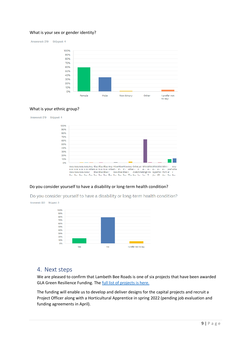#### What is your sex or gender identity?

Answered: 219 Skipped: 4



#### What is your ethnic group?



#### Do you consider yourself to have a disability or long-term health condition?

Do you consider yourself to have a disability or long-term health condition? Answered: 220 Skipped: 3



# 4. Next steps

We are pleased to confirm that Lambeth Bee Roads is one of six projects that have been awarded GLA Green Resilience Funding. The [full list of projects is here.](https://www.london.gov.uk/what-we-do/environment/parks-green-spaces-and-biodiversity/green-and-resilient-spaces-fund#acc-i-65308) 

The funding will enable us to develop and deliver designs for the capital projects and recruit a Project Officer along with a Horticultural Apprentice in spring 2022 (pending job evaluation and funding agreements in April).